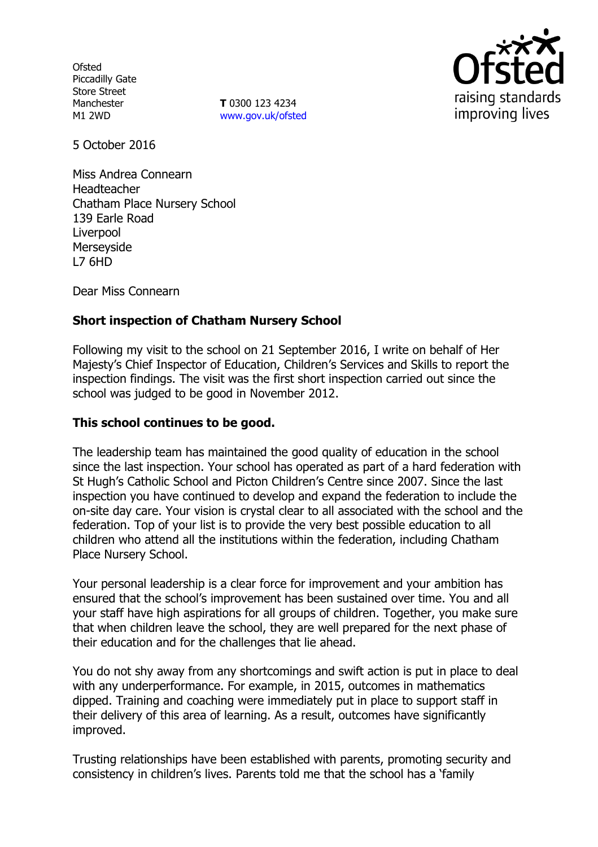**Ofsted** Piccadilly Gate Store Street Manchester M1 2WD

**T** 0300 123 4234 www.gov.uk/ofsted



5 October 2016

Miss Andrea Connearn Headteacher Chatham Place Nursery School 139 Earle Road Liverpool Merseyside L7 6HD

Dear Miss Connearn

### **Short inspection of Chatham Nursery School**

Following my visit to the school on 21 September 2016, I write on behalf of Her Majesty's Chief Inspector of Education, Children's Services and Skills to report the inspection findings. The visit was the first short inspection carried out since the school was judged to be good in November 2012.

### **This school continues to be good.**

The leadership team has maintained the good quality of education in the school since the last inspection. Your school has operated as part of a hard federation with St Hugh's Catholic School and Picton Children's Centre since 2007. Since the last inspection you have continued to develop and expand the federation to include the on-site day care. Your vision is crystal clear to all associated with the school and the federation. Top of your list is to provide the very best possible education to all children who attend all the institutions within the federation, including Chatham Place Nursery School.

Your personal leadership is a clear force for improvement and your ambition has ensured that the school's improvement has been sustained over time. You and all your staff have high aspirations for all groups of children. Together, you make sure that when children leave the school, they are well prepared for the next phase of their education and for the challenges that lie ahead.

You do not shy away from any shortcomings and swift action is put in place to deal with any underperformance. For example, in 2015, outcomes in mathematics dipped. Training and coaching were immediately put in place to support staff in their delivery of this area of learning. As a result, outcomes have significantly improved.

Trusting relationships have been established with parents, promoting security and consistency in children's lives. Parents told me that the school has a 'family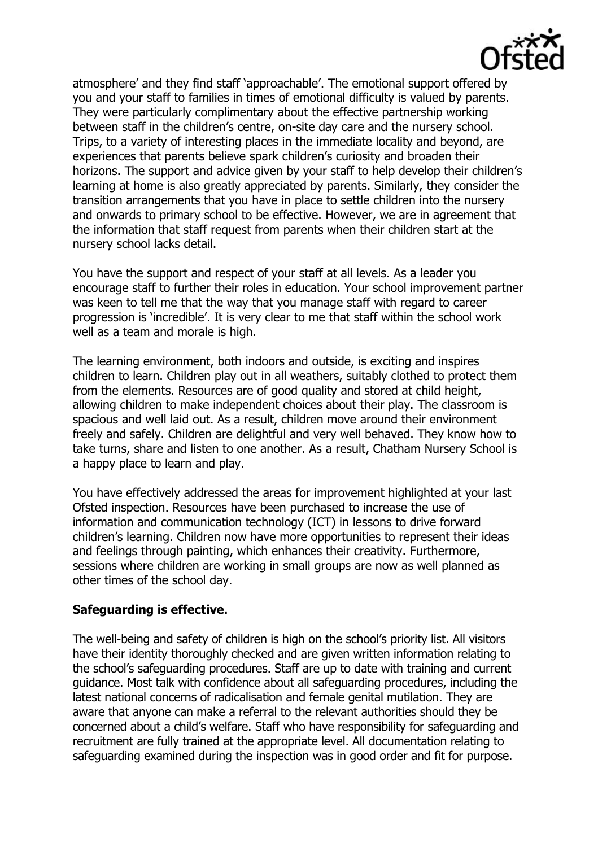

atmosphere' and they find staff 'approachable'. The emotional support offered by you and your staff to families in times of emotional difficulty is valued by parents. They were particularly complimentary about the effective partnership working between staff in the children's centre, on-site day care and the nursery school. Trips, to a variety of interesting places in the immediate locality and beyond, are experiences that parents believe spark children's curiosity and broaden their horizons. The support and advice given by your staff to help develop their children's learning at home is also greatly appreciated by parents. Similarly, they consider the transition arrangements that you have in place to settle children into the nursery and onwards to primary school to be effective. However, we are in agreement that the information that staff request from parents when their children start at the nursery school lacks detail.

You have the support and respect of your staff at all levels. As a leader you encourage staff to further their roles in education. Your school improvement partner was keen to tell me that the way that you manage staff with regard to career progression is 'incredible'. It is very clear to me that staff within the school work well as a team and morale is high.

The learning environment, both indoors and outside, is exciting and inspires children to learn. Children play out in all weathers, suitably clothed to protect them from the elements. Resources are of good quality and stored at child height, allowing children to make independent choices about their play. The classroom is spacious and well laid out. As a result, children move around their environment freely and safely. Children are delightful and very well behaved. They know how to take turns, share and listen to one another. As a result, Chatham Nursery School is a happy place to learn and play.

You have effectively addressed the areas for improvement highlighted at your last Ofsted inspection. Resources have been purchased to increase the use of information and communication technology (ICT) in lessons to drive forward children's learning. Children now have more opportunities to represent their ideas and feelings through painting, which enhances their creativity. Furthermore, sessions where children are working in small groups are now as well planned as other times of the school day.

### **Safeguarding is effective.**

The well-being and safety of children is high on the school's priority list. All visitors have their identity thoroughly checked and are given written information relating to the school's safeguarding procedures. Staff are up to date with training and current guidance. Most talk with confidence about all safeguarding procedures, including the latest national concerns of radicalisation and female genital mutilation. They are aware that anyone can make a referral to the relevant authorities should they be concerned about a child's welfare. Staff who have responsibility for safeguarding and recruitment are fully trained at the appropriate level. All documentation relating to safeguarding examined during the inspection was in good order and fit for purpose.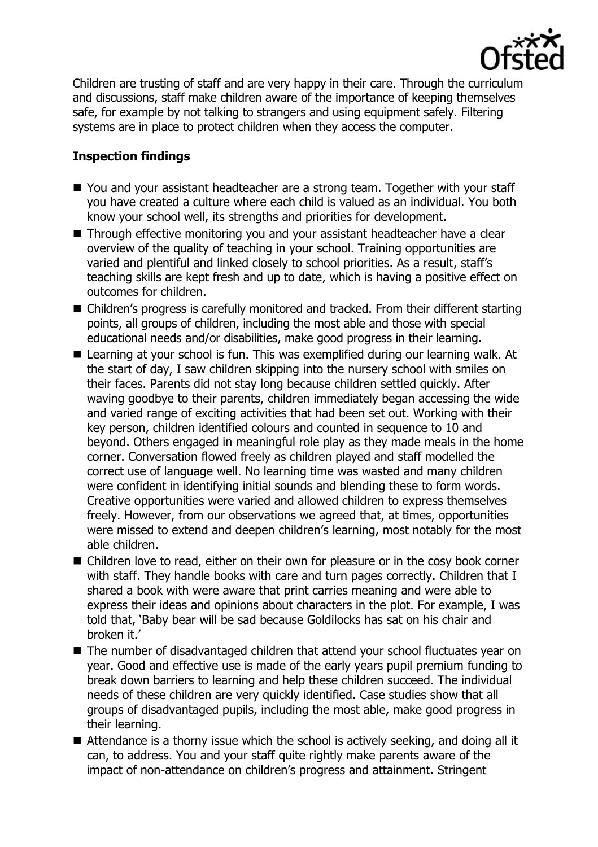

Children are trusting of staff and are very happy in their care. Through the curriculum and discussions, staff make children aware of the importance of keeping themselves safe, for example by not talking to strangers and using equipment safely. Filtering systems are in place to protect children when they access the computer.

# **Inspection findings**

- You and your assistant headteacher are a strong team. Together with your staff you have created a culture where each child is valued as an individual. You both know your school well, its strengths and priorities for development.
- Through effective monitoring you and your assistant headteacher have a clear overview of the quality of teaching in your school. Training opportunities are varied and plentiful and linked closely to school priorities. As a result, staff's teaching skills are kept fresh and up to date, which is having a positive effect on outcomes for children.
- Children's progress is carefully monitored and tracked. From their different starting points, all groups of children, including the most able and those with special educational needs and/or disabilities, make good progress in their learning.
- Learning at your school is fun. This was exemplified during our learning walk. At the start of day, I saw children skipping into the nursery school with smiles on their faces. Parents did not stay long because children settled quickly. After waving goodbye to their parents, children immediately began accessing the wide and varied range of exciting activities that had been set out. Working with their key person, children identified colours and counted in sequence to 10 and beyond. Others engaged in meaningful role play as they made meals in the home corner. Conversation flowed freely as children played and staff modelled the correct use of language well. No learning time was wasted and many children were confident in identifying initial sounds and blending these to form words. Creative opportunities were varied and allowed children to express themselves freely. However, from our observations we agreed that, at times, opportunities were missed to extend and deepen children's learning, most notably for the most able children.
- Children love to read, either on their own for pleasure or in the cosy book corner with staff. They handle books with care and turn pages correctly. Children that I shared a book with were aware that print carries meaning and were able to express their ideas and opinions about characters in the plot. For example, I was told that, 'Baby bear will be sad because Goldilocks has sat on his chair and broken it.'
- The number of disadvantaged children that attend your school fluctuates year on year. Good and effective use is made of the early years pupil premium funding to break down barriers to learning and help these children succeed. The individual needs of these children are very quickly identified. Case studies show that all groups of disadvantaged pupils, including the most able, make good progress in their learning.
- Attendance is a thorny issue which the school is actively seeking, and doing all it can, to address. You and your staff quite rightly make parents aware of the impact of non-attendance on children's progress and attainment. Stringent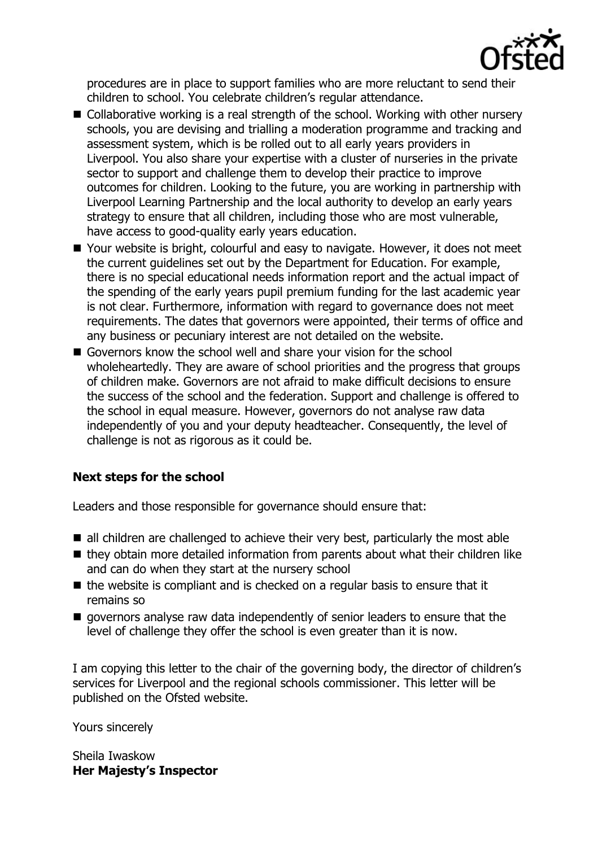

procedures are in place to support families who are more reluctant to send their children to school. You celebrate children's regular attendance.

- Collaborative working is a real strength of the school. Working with other nursery schools, you are devising and trialling a moderation programme and tracking and assessment system, which is be rolled out to all early years providers in Liverpool. You also share your expertise with a cluster of nurseries in the private sector to support and challenge them to develop their practice to improve outcomes for children. Looking to the future, you are working in partnership with Liverpool Learning Partnership and the local authority to develop an early years strategy to ensure that all children, including those who are most vulnerable, have access to good-quality early years education.
- Your website is bright, colourful and easy to navigate. However, it does not meet the current guidelines set out by the Department for Education. For example, there is no special educational needs information report and the actual impact of the spending of the early years pupil premium funding for the last academic year is not clear. Furthermore, information with regard to governance does not meet requirements. The dates that governors were appointed, their terms of office and any business or pecuniary interest are not detailed on the website.
- Governors know the school well and share your vision for the school wholeheartedly. They are aware of school priorities and the progress that groups of children make. Governors are not afraid to make difficult decisions to ensure the success of the school and the federation. Support and challenge is offered to the school in equal measure. However, governors do not analyse raw data independently of you and your deputy headteacher. Consequently, the level of challenge is not as rigorous as it could be.

## **Next steps for the school**

Leaders and those responsible for governance should ensure that:

- all children are challenged to achieve their very best, particularly the most able
- $\blacksquare$  they obtain more detailed information from parents about what their children like and can do when they start at the nursery school
- $\blacksquare$  the website is compliant and is checked on a regular basis to ensure that it remains so
- $\blacksquare$  governors analyse raw data independently of senior leaders to ensure that the level of challenge they offer the school is even greater than it is now.

I am copying this letter to the chair of the governing body, the director of children's services for Liverpool and the regional schools commissioner. This letter will be published on the Ofsted website.

Yours sincerely

Sheila Iwaskow **Her Majesty's Inspector**